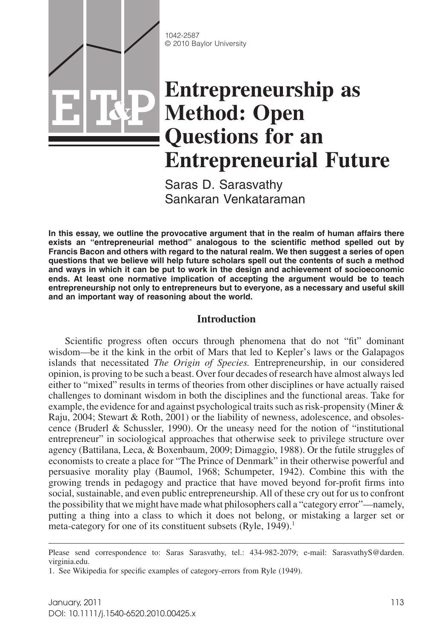1042-2587 © 2010 Baylor University

**E T&P**

# **Entrepreneurship as Method: Open Questions for an Entrepreneurial Future**

Saras D. Sarasvathy Sankaran Venkataraman

**In this essay, we outline the provocative argument that in the realm of human affairs there exists an "entrepreneurial method" analogous to the scientific method spelled out by Francis Bacon and others with regard to the natural realm. We then suggest a series of open questions that we believe will help future scholars spell out the contents of such a method and ways in which it can be put to work in the design and achievement of socioeconomic ends. At least one normative implication of accepting the argument would be to teach entrepreneurship not only to entrepreneurs but to everyone, as a necessary and useful skill and an important way of reasoning about the world.**

# **Introduction**

Scientific progress often occurs through phenomena that do not "fit" dominant wisdom—be it the kink in the orbit of Mars that led to Kepler's laws or the Galapagos islands that necessitated *The Origin of Species.* Entrepreneurship, in our considered opinion, is proving to be such a beast. Over four decades of research have almost always led either to "mixed" results in terms of theories from other disciplines or have actually raised challenges to dominant wisdom in both the disciplines and the functional areas. Take for example, the evidence for and against psychological traits such as risk-propensity (Miner & Raju, 2004; Stewart & Roth, 2001) or the liability of newness, adolescence, and obsolescence (Bruderl & Schussler, 1990). Or the uneasy need for the notion of "institutional entrepreneur" in sociological approaches that otherwise seek to privilege structure over agency (Battilana, Leca, & Boxenbaum, 2009; Dimaggio, 1988). Or the futile struggles of economists to create a place for "The Prince of Denmark" in their otherwise powerful and persuasive morality play (Baumol, 1968; Schumpeter, 1942). Combine this with the growing trends in pedagogy and practice that have moved beyond for-profit firms into social, sustainable, and even public entrepreneurship. All of these cry out for us to confront the possibility that we might have made what philosophers call a "category error"—namely, putting a thing into a class to which it does not belong, or mistaking a larger set or meta-category for one of its constituent subsets (Ryle, 1949).<sup>1</sup>

Please send correspondence to: Saras Sarasvathy, tel.: 434-982-2079; e-mail: SarasvathyS@darden. virginia.edu.

<sup>1.</sup> See Wikipedia for specific examples of category-errors from Ryle (1949).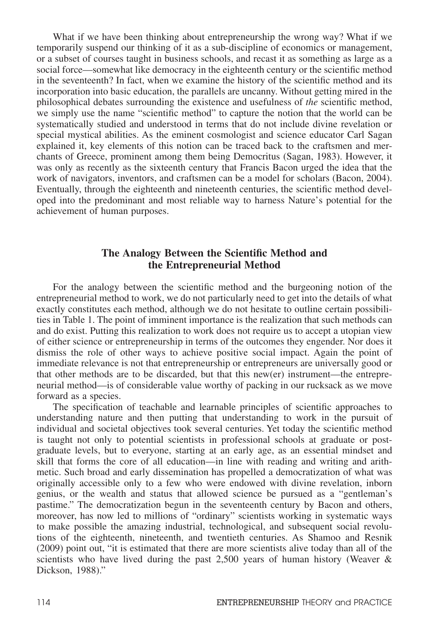What if we have been thinking about entrepreneurship the wrong way? What if we temporarily suspend our thinking of it as a sub-discipline of economics or management, or a subset of courses taught in business schools, and recast it as something as large as a social force—somewhat like democracy in the eighteenth century or the scientific method in the seventeenth? In fact, when we examine the history of the scientific method and its incorporation into basic education, the parallels are uncanny. Without getting mired in the philosophical debates surrounding the existence and usefulness of *the* scientific method, we simply use the name "scientific method" to capture the notion that the world can be systematically studied and understood in terms that do not include divine revelation or special mystical abilities. As the eminent cosmologist and science educator Carl Sagan explained it, key elements of this notion can be traced back to the craftsmen and merchants of Greece, prominent among them being Democritus (Sagan, 1983). However, it was only as recently as the sixteenth century that Francis Bacon urged the idea that the work of navigators, inventors, and craftsmen can be a model for scholars (Bacon, 2004). Eventually, through the eighteenth and nineteenth centuries, the scientific method developed into the predominant and most reliable way to harness Nature's potential for the achievement of human purposes.

# **The Analogy Between the Scientific Method and the Entrepreneurial Method**

For the analogy between the scientific method and the burgeoning notion of the entrepreneurial method to work, we do not particularly need to get into the details of what exactly constitutes each method, although we do not hesitate to outline certain possibilities in Table 1. The point of imminent importance is the realization that such methods can and do exist. Putting this realization to work does not require us to accept a utopian view of either science or entrepreneurship in terms of the outcomes they engender. Nor does it dismiss the role of other ways to achieve positive social impact. Again the point of immediate relevance is not that entrepreneurship or entrepreneurs are universally good or that other methods are to be discarded, but that this new(er) instrument—the entrepreneurial method—is of considerable value worthy of packing in our rucksack as we move forward as a species.

The specification of teachable and learnable principles of scientific approaches to understanding nature and then putting that understanding to work in the pursuit of individual and societal objectives took several centuries. Yet today the scientific method is taught not only to potential scientists in professional schools at graduate or postgraduate levels, but to everyone, starting at an early age, as an essential mindset and skill that forms the core of all education—in line with reading and writing and arithmetic. Such broad and early dissemination has propelled a democratization of what was originally accessible only to a few who were endowed with divine revelation, inborn genius, or the wealth and status that allowed science be pursued as a "gentleman's pastime." The democratization begun in the seventeenth century by Bacon and others, moreover, has now led to millions of "ordinary" scientists working in systematic ways to make possible the amazing industrial, technological, and subsequent social revolutions of the eighteenth, nineteenth, and twentieth centuries. As Shamoo and Resnik (2009) point out, "it is estimated that there are more scientists alive today than all of the scientists who have lived during the past 2,500 years of human history (Weaver  $\&$ Dickson, 1988)."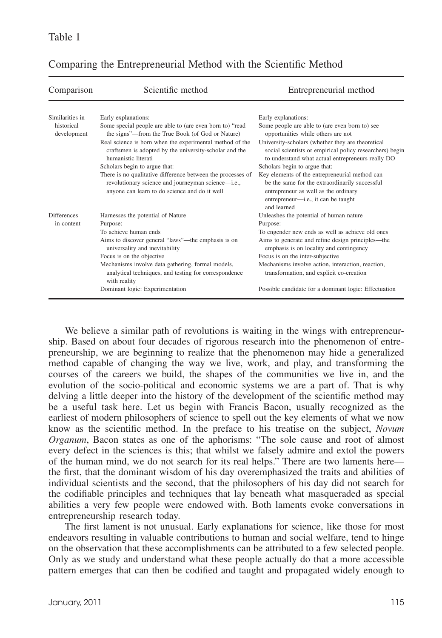| Comparison                | Scientific method                                                                                                                                                  | Entrepreneurial method                                                                                                                                                                         |
|---------------------------|--------------------------------------------------------------------------------------------------------------------------------------------------------------------|------------------------------------------------------------------------------------------------------------------------------------------------------------------------------------------------|
| Similarities in           | Early explanations:                                                                                                                                                | Early explanations:                                                                                                                                                                            |
| historical<br>development | Some special people are able to (are even born to) "read<br>the signs"—from the True Book (of God or Nature)                                                       | Some people are able to (are even born to) see<br>opportunities while others are not                                                                                                           |
|                           | Real science is born when the experimental method of the<br>craftsmen is adopted by the university-scholar and the<br>humanistic literati                          | University-scholars (whether they are theoretical<br>social scientists or empirical policy researchers) begin<br>to understand what actual entrepreneurs really DO                             |
|                           | Scholars begin to argue that:                                                                                                                                      | Scholars begin to argue that:                                                                                                                                                                  |
|                           | There is no qualitative difference between the processes of<br>revolutionary science and journeyman science—i.e.,<br>anyone can learn to do science and do it well | Key elements of the entrepreneurial method can<br>be the same for the extraordinarily successful<br>entrepreneur as well as the ordinary<br>entrepreneur—i.e., it can be taught<br>and learned |
| <b>Differences</b>        | Harnesses the potential of Nature                                                                                                                                  | Unleashes the potential of human nature                                                                                                                                                        |
| in content                | Purpose:                                                                                                                                                           | Purpose:                                                                                                                                                                                       |
|                           | To achieve human ends                                                                                                                                              | To engender new ends as well as achieve old ones                                                                                                                                               |
|                           | Aims to discover general "laws"—the emphasis is on<br>universality and inevitability                                                                               | Aims to generate and refine design principles—the<br>emphasis is on locality and contingency                                                                                                   |
|                           | Focus is on the objective                                                                                                                                          | Focus is on the inter-subjective                                                                                                                                                               |
|                           | Mechanisms involve data gathering, formal models,<br>analytical techniques, and testing for correspondence<br>with reality                                         | Mechanisms involve action, interaction, reaction,<br>transformation, and explicit co-creation                                                                                                  |
|                           | Dominant logic: Experimentation                                                                                                                                    | Possible candidate for a dominant logic: Effectuation                                                                                                                                          |

# Comparing the Entrepreneurial Method with the Scientific Method

We believe a similar path of revolutions is waiting in the wings with entrepreneurship. Based on about four decades of rigorous research into the phenomenon of entrepreneurship, we are beginning to realize that the phenomenon may hide a generalized method capable of changing the way we live, work, and play, and transforming the courses of the careers we build, the shapes of the communities we live in, and the evolution of the socio-political and economic systems we are a part of. That is why delving a little deeper into the history of the development of the scientific method may be a useful task here. Let us begin with Francis Bacon, usually recognized as the earliest of modern philosophers of science to spell out the key elements of what we now know as the scientific method. In the preface to his treatise on the subject, *Novum Organum*, Bacon states as one of the aphorisms: "The sole cause and root of almost every defect in the sciences is this; that whilst we falsely admire and extol the powers of the human mind, we do not search for its real helps." There are two laments here the first, that the dominant wisdom of his day overemphasized the traits and abilities of individual scientists and the second, that the philosophers of his day did not search for the codifiable principles and techniques that lay beneath what masqueraded as special abilities a very few people were endowed with. Both laments evoke conversations in entrepreneurship research today.

The first lament is not unusual. Early explanations for science, like those for most endeavors resulting in valuable contributions to human and social welfare, tend to hinge on the observation that these accomplishments can be attributed to a few selected people. Only as we study and understand what these people actually do that a more accessible pattern emerges that can then be codified and taught and propagated widely enough to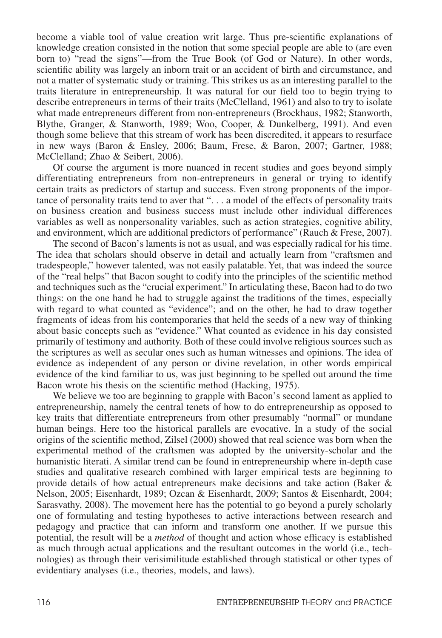become a viable tool of value creation writ large. Thus pre-scientific explanations of knowledge creation consisted in the notion that some special people are able to (are even born to) "read the signs"—from the True Book (of God or Nature). In other words, scientific ability was largely an inborn trait or an accident of birth and circumstance, and not a matter of systematic study or training. This strikes us as an interesting parallel to the traits literature in entrepreneurship. It was natural for our field too to begin trying to describe entrepreneurs in terms of their traits (McClelland, 1961) and also to try to isolate what made entrepreneurs different from non-entrepreneurs (Brockhaus, 1982; Stanworth, Blythe, Granger, & Stanworth, 1989; Woo, Cooper, & Dunkelberg, 1991). And even though some believe that this stream of work has been discredited, it appears to resurface in new ways (Baron & Ensley, 2006; Baum, Frese, & Baron, 2007; Gartner, 1988; McClelland; Zhao & Seibert, 2006).

Of course the argument is more nuanced in recent studies and goes beyond simply differentiating entrepreneurs from non-entrepreneurs in general or trying to identify certain traits as predictors of startup and success. Even strong proponents of the importance of personality traits tend to aver that "... a model of the effects of personality traits on business creation and business success must include other individual differences variables as well as nonpersonality variables, such as action strategies, cognitive ability, and environment, which are additional predictors of performance" (Rauch & Frese, 2007).

The second of Bacon's laments is not as usual, and was especially radical for his time. The idea that scholars should observe in detail and actually learn from "craftsmen and tradespeople," however talented, was not easily palatable. Yet, that was indeed the source of the "real helps" that Bacon sought to codify into the principles of the scientific method and techniques such as the "crucial experiment." In articulating these, Bacon had to do two things: on the one hand he had to struggle against the traditions of the times, especially with regard to what counted as "evidence"; and on the other, he had to draw together fragments of ideas from his contemporaries that held the seeds of a new way of thinking about basic concepts such as "evidence." What counted as evidence in his day consisted primarily of testimony and authority. Both of these could involve religious sources such as the scriptures as well as secular ones such as human witnesses and opinions. The idea of evidence as independent of any person or divine revelation, in other words empirical evidence of the kind familiar to us, was just beginning to be spelled out around the time Bacon wrote his thesis on the scientific method (Hacking, 1975).

We believe we too are beginning to grapple with Bacon's second lament as applied to entrepreneurship, namely the central tenets of how to do entrepreneurship as opposed to key traits that differentiate entrepreneurs from other presumably "normal" or mundane human beings. Here too the historical parallels are evocative. In a study of the social origins of the scientific method, Zilsel (2000) showed that real science was born when the experimental method of the craftsmen was adopted by the university-scholar and the humanistic literati. A similar trend can be found in entrepreneurship where in-depth case studies and qualitative research combined with larger empirical tests are beginning to provide details of how actual entrepreneurs make decisions and take action (Baker & Nelson, 2005; Eisenhardt, 1989; Ozcan & Eisenhardt, 2009; Santos & Eisenhardt, 2004; Sarasvathy, 2008). The movement here has the potential to go beyond a purely scholarly one of formulating and testing hypotheses to active interactions between research and pedagogy and practice that can inform and transform one another. If we pursue this potential, the result will be a *method* of thought and action whose efficacy is established as much through actual applications and the resultant outcomes in the world (i.e., technologies) as through their verisimilitude established through statistical or other types of evidentiary analyses (i.e., theories, models, and laws).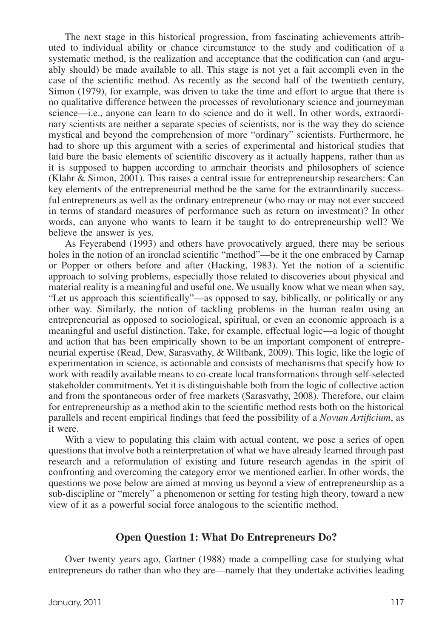The next stage in this historical progression, from fascinating achievements attributed to individual ability or chance circumstance to the study and codification of a systematic method, is the realization and acceptance that the codification can (and arguably should) be made available to all. This stage is not yet a fait accompli even in the case of the scientific method. As recently as the second half of the twentieth century, Simon (1979), for example, was driven to take the time and effort to argue that there is no qualitative difference between the processes of revolutionary science and journeyman science—i.e., anyone can learn to do science and do it well. In other words, extraordinary scientists are neither a separate species of scientists, nor is the way they do science mystical and beyond the comprehension of more "ordinary" scientists. Furthermore, he had to shore up this argument with a series of experimental and historical studies that laid bare the basic elements of scientific discovery as it actually happens, rather than as it is supposed to happen according to armchair theorists and philosophers of science (Klahr & Simon, 2001). This raises a central issue for entrepreneurship researchers: Can key elements of the entrepreneurial method be the same for the extraordinarily successful entrepreneurs as well as the ordinary entrepreneur (who may or may not ever succeed in terms of standard measures of performance such as return on investment)? In other words, can anyone who wants to learn it be taught to do entrepreneurship well? We believe the answer is yes.

As Feyerabend (1993) and others have provocatively argued, there may be serious holes in the notion of an ironclad scientific "method"—be it the one embraced by Carnap or Popper or others before and after (Hacking, 1983). Yet the notion of a scientific approach to solving problems, especially those related to discoveries about physical and material reality is a meaningful and useful one. We usually know what we mean when say, "Let us approach this scientifically"—as opposed to say, biblically, or politically or any other way. Similarly, the notion of tackling problems in the human realm using an entrepreneurial as opposed to sociological, spiritual, or even an economic approach is a meaningful and useful distinction. Take, for example, effectual logic—a logic of thought and action that has been empirically shown to be an important component of entrepreneurial expertise (Read, Dew, Sarasvathy, & Wiltbank, 2009). This logic, like the logic of experimentation in science, is actionable and consists of mechanisms that specify how to work with readily available means to co-create local transformations through self-selected stakeholder commitments. Yet it is distinguishable both from the logic of collective action and from the spontaneous order of free markets (Sarasvathy, 2008). Therefore, our claim for entrepreneurship as a method akin to the scientific method rests both on the historical parallels and recent empirical findings that feed the possibility of a *Novum Artificium*, as it were.

With a view to populating this claim with actual content, we pose a series of open questions that involve both a reinterpretation of what we have already learned through past research and a reformulation of existing and future research agendas in the spirit of confronting and overcoming the category error we mentioned earlier. In other words, the questions we pose below are aimed at moving us beyond a view of entrepreneurship as a sub-discipline or "merely" a phenomenon or setting for testing high theory, toward a new view of it as a powerful social force analogous to the scientific method.

#### **Open Question 1: What Do Entrepreneurs Do?**

Over twenty years ago, Gartner (1988) made a compelling case for studying what entrepreneurs do rather than who they are—namely that they undertake activities leading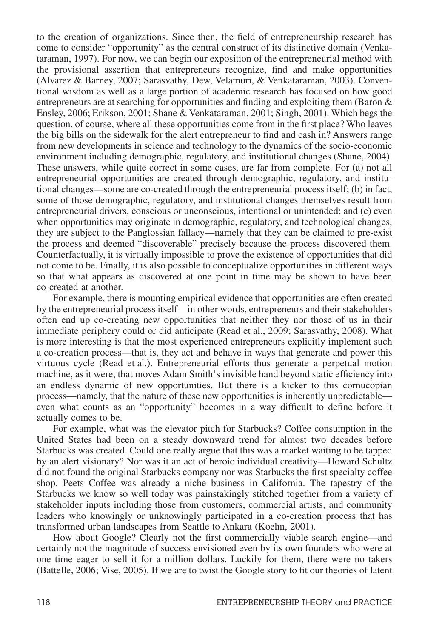to the creation of organizations. Since then, the field of entrepreneurship research has come to consider "opportunity" as the central construct of its distinctive domain (Venkataraman, 1997). For now, we can begin our exposition of the entrepreneurial method with the provisional assertion that entrepreneurs recognize, find and make opportunities (Alvarez & Barney, 2007; Sarasvathy, Dew, Velamuri, & Venkataraman, 2003). Conventional wisdom as well as a large portion of academic research has focused on how good entrepreneurs are at searching for opportunities and finding and exploiting them (Baron & Ensley, 2006; Erikson, 2001; Shane & Venkataraman, 2001; Singh, 2001). Which begs the question, of course, where all these opportunities come from in the first place? Who leaves the big bills on the sidewalk for the alert entrepreneur to find and cash in? Answers range from new developments in science and technology to the dynamics of the socio-economic environment including demographic, regulatory, and institutional changes (Shane, 2004). These answers, while quite correct in some cases, are far from complete. For (a) not all entrepreneurial opportunities are created through demographic, regulatory, and institutional changes—some are co-created through the entrepreneurial process itself; (b) in fact, some of those demographic, regulatory, and institutional changes themselves result from entrepreneurial drivers, conscious or unconscious, intentional or unintended; and (c) even when opportunities may originate in demographic, regulatory, and technological changes, they are subject to the Panglossian fallacy—namely that they can be claimed to pre-exist the process and deemed "discoverable" precisely because the process discovered them. Counterfactually, it is virtually impossible to prove the existence of opportunities that did not come to be. Finally, it is also possible to conceptualize opportunities in different ways so that what appears as discovered at one point in time may be shown to have been co-created at another.

For example, there is mounting empirical evidence that opportunities are often created by the entrepreneurial process itself—in other words, entrepreneurs and their stakeholders often end up co-creating new opportunities that neither they nor those of us in their immediate periphery could or did anticipate (Read et al., 2009; Sarasvathy, 2008). What is more interesting is that the most experienced entrepreneurs explicitly implement such a co-creation process—that is, they act and behave in ways that generate and power this virtuous cycle (Read et al.). Entrepreneurial efforts thus generate a perpetual motion machine, as it were, that moves Adam Smith's invisible hand beyond static efficiency into an endless dynamic of new opportunities. But there is a kicker to this cornucopian process—namely, that the nature of these new opportunities is inherently unpredictable even what counts as an "opportunity" becomes in a way difficult to define before it actually comes to be.

For example, what was the elevator pitch for Starbucks? Coffee consumption in the United States had been on a steady downward trend for almost two decades before Starbucks was created. Could one really argue that this was a market waiting to be tapped by an alert visionary? Nor was it an act of heroic individual creativity—Howard Schultz did not found the original Starbucks company nor was Starbucks the first specialty coffee shop. Peets Coffee was already a niche business in California. The tapestry of the Starbucks we know so well today was painstakingly stitched together from a variety of stakeholder inputs including those from customers, commercial artists, and community leaders who knowingly or unknowingly participated in a co-creation process that has transformed urban landscapes from Seattle to Ankara (Koehn, 2001).

How about Google? Clearly not the first commercially viable search engine—and certainly not the magnitude of success envisioned even by its own founders who were at one time eager to sell it for a million dollars. Luckily for them, there were no takers (Battelle, 2006; Vise, 2005). If we are to twist the Google story to fit our theories of latent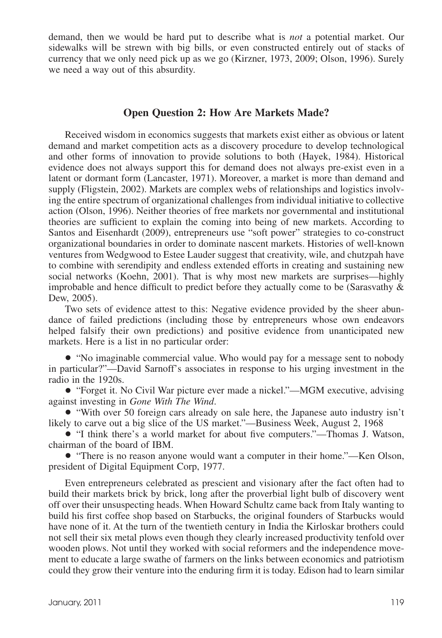demand, then we would be hard put to describe what is *not* a potential market. Our sidewalks will be strewn with big bills, or even constructed entirely out of stacks of currency that we only need pick up as we go (Kirzner, 1973, 2009; Olson, 1996). Surely we need a way out of this absurdity.

# **Open Question 2: How Are Markets Made?**

Received wisdom in economics suggests that markets exist either as obvious or latent demand and market competition acts as a discovery procedure to develop technological and other forms of innovation to provide solutions to both (Hayek, 1984). Historical evidence does not always support this for demand does not always pre-exist even in a latent or dormant form (Lancaster, 1971). Moreover, a market is more than demand and supply (Fligstein, 2002). Markets are complex webs of relationships and logistics involving the entire spectrum of organizational challenges from individual initiative to collective action (Olson, 1996). Neither theories of free markets nor governmental and institutional theories are sufficient to explain the coming into being of new markets. According to Santos and Eisenhardt (2009), entrepreneurs use "soft power" strategies to co-construct organizational boundaries in order to dominate nascent markets. Histories of well-known ventures from Wedgwood to Estee Lauder suggest that creativity, wile, and chutzpah have to combine with serendipity and endless extended efforts in creating and sustaining new social networks (Koehn, 2001). That is why most new markets are surprises—highly improbable and hence difficult to predict before they actually come to be (Sarasvathy  $\&$ Dew, 2005).

Two sets of evidence attest to this: Negative evidence provided by the sheer abundance of failed predictions (including those by entrepreneurs whose own endeavors helped falsify their own predictions) and positive evidence from unanticipated new markets. Here is a list in no particular order:

• "No imaginable commercial value. Who would pay for a message sent to nobody in particular?"—David Sarnoff's associates in response to his urging investment in the radio in the 1920s.

• "Forget it. No Civil War picture ever made a nickel."—MGM executive, advising against investing in *Gone With The Wind*.

• "With over 50 foreign cars already on sale here, the Japanese auto industry isn't likely to carve out a big slice of the US market."—Business Week, August 2, 1968

• "I think there's a world market for about five computers."—Thomas J. Watson, chairman of the board of IBM.

• "There is no reason anyone would want a computer in their home."—Ken Olson, president of Digital Equipment Corp, 1977.

Even entrepreneurs celebrated as prescient and visionary after the fact often had to build their markets brick by brick, long after the proverbial light bulb of discovery went off over their unsuspecting heads. When Howard Schultz came back from Italy wanting to build his first coffee shop based on Starbucks, the original founders of Starbucks would have none of it. At the turn of the twentieth century in India the Kirloskar brothers could not sell their six metal plows even though they clearly increased productivity tenfold over wooden plows. Not until they worked with social reformers and the independence movement to educate a large swathe of farmers on the links between economics and patriotism could they grow their venture into the enduring firm it is today. Edison had to learn similar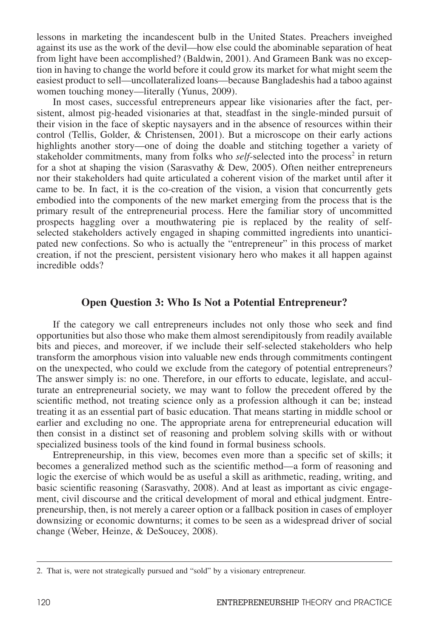lessons in marketing the incandescent bulb in the United States. Preachers inveighed against its use as the work of the devil—how else could the abominable separation of heat from light have been accomplished? (Baldwin, 2001). And Grameen Bank was no exception in having to change the world before it could grow its market for what might seem the easiest product to sell—uncollateralized loans—because Bangladeshis had a taboo against women touching money—literally (Yunus, 2009).

In most cases, successful entrepreneurs appear like visionaries after the fact, persistent, almost pig-headed visionaries at that, steadfast in the single-minded pursuit of their vision in the face of skeptic naysayers and in the absence of resources within their control (Tellis, Golder, & Christensen, 2001). But a microscope on their early actions highlights another story—one of doing the doable and stitching together a variety of stakeholder commitments, many from folks who *self*-selected into the process<sup>2</sup> in return for a shot at shaping the vision (Sarasvathy  $\&$  Dew, 2005). Often neither entrepreneurs nor their stakeholders had quite articulated a coherent vision of the market until after it came to be. In fact, it is the co-creation of the vision, a vision that concurrently gets embodied into the components of the new market emerging from the process that is the primary result of the entrepreneurial process. Here the familiar story of uncommitted prospects haggling over a mouthwatering pie is replaced by the reality of selfselected stakeholders actively engaged in shaping committed ingredients into unanticipated new confections. So who is actually the "entrepreneur" in this process of market creation, if not the prescient, persistent visionary hero who makes it all happen against incredible odds?

# **Open Question 3: Who Is Not a Potential Entrepreneur?**

If the category we call entrepreneurs includes not only those who seek and find opportunities but also those who make them almost serendipitously from readily available bits and pieces, and moreover, if we include their self-selected stakeholders who help transform the amorphous vision into valuable new ends through commitments contingent on the unexpected, who could we exclude from the category of potential entrepreneurs? The answer simply is: no one. Therefore, in our efforts to educate, legislate, and acculturate an entrepreneurial society, we may want to follow the precedent offered by the scientific method, not treating science only as a profession although it can be; instead treating it as an essential part of basic education. That means starting in middle school or earlier and excluding no one. The appropriate arena for entrepreneurial education will then consist in a distinct set of reasoning and problem solving skills with or without specialized business tools of the kind found in formal business schools.

Entrepreneurship, in this view, becomes even more than a specific set of skills; it becomes a generalized method such as the scientific method—a form of reasoning and logic the exercise of which would be as useful a skill as arithmetic, reading, writing, and basic scientific reasoning (Sarasvathy, 2008). And at least as important as civic engagement, civil discourse and the critical development of moral and ethical judgment. Entrepreneurship, then, is not merely a career option or a fallback position in cases of employer downsizing or economic downturns; it comes to be seen as a widespread driver of social change (Weber, Heinze, & DeSoucey, 2008).

<sup>2.</sup> That is, were not strategically pursued and "sold" by a visionary entrepreneur.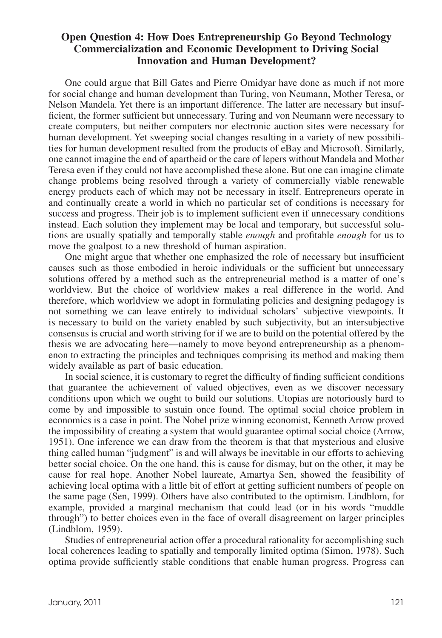# **Open Question 4: How Does Entrepreneurship Go Beyond Technology Commercialization and Economic Development to Driving Social Innovation and Human Development?**

One could argue that Bill Gates and Pierre Omidyar have done as much if not more for social change and human development than Turing, von Neumann, Mother Teresa, or Nelson Mandela. Yet there is an important difference. The latter are necessary but insufficient, the former sufficient but unnecessary. Turing and von Neumann were necessary to create computers, but neither computers nor electronic auction sites were necessary for human development. Yet sweeping social changes resulting in a variety of new possibilities for human development resulted from the products of eBay and Microsoft. Similarly, one cannot imagine the end of apartheid or the care of lepers without Mandela and Mother Teresa even if they could not have accomplished these alone. But one can imagine climate change problems being resolved through a variety of commercially viable renewable energy products each of which may not be necessary in itself. Entrepreneurs operate in and continually create a world in which no particular set of conditions is necessary for success and progress. Their job is to implement sufficient even if unnecessary conditions instead. Each solution they implement may be local and temporary, but successful solutions are usually spatially and temporally stable *enough* and profitable *enough* for us to move the goalpost to a new threshold of human aspiration.

One might argue that whether one emphasized the role of necessary but insufficient causes such as those embodied in heroic individuals or the sufficient but unnecessary solutions offered by a method such as the entrepreneurial method is a matter of one's worldview. But the choice of worldview makes a real difference in the world. And therefore, which worldview we adopt in formulating policies and designing pedagogy is not something we can leave entirely to individual scholars' subjective viewpoints. It is necessary to build on the variety enabled by such subjectivity, but an intersubjective consensus is crucial and worth striving for if we are to build on the potential offered by the thesis we are advocating here—namely to move beyond entrepreneurship as a phenomenon to extracting the principles and techniques comprising its method and making them widely available as part of basic education.

In social science, it is customary to regret the difficulty of finding sufficient conditions that guarantee the achievement of valued objectives, even as we discover necessary conditions upon which we ought to build our solutions. Utopias are notoriously hard to come by and impossible to sustain once found. The optimal social choice problem in economics is a case in point. The Nobel prize winning economist, Kenneth Arrow proved the impossibility of creating a system that would guarantee optimal social choice (Arrow, 1951). One inference we can draw from the theorem is that that mysterious and elusive thing called human "judgment" is and will always be inevitable in our efforts to achieving better social choice. On the one hand, this is cause for dismay, but on the other, it may be cause for real hope. Another Nobel laureate, Amartya Sen, showed the feasibility of achieving local optima with a little bit of effort at getting sufficient numbers of people on the same page (Sen, 1999). Others have also contributed to the optimism. Lindblom, for example, provided a marginal mechanism that could lead (or in his words "muddle through") to better choices even in the face of overall disagreement on larger principles (Lindblom, 1959).

Studies of entrepreneurial action offer a procedural rationality for accomplishing such local coherences leading to spatially and temporally limited optima (Simon, 1978). Such optima provide sufficiently stable conditions that enable human progress. Progress can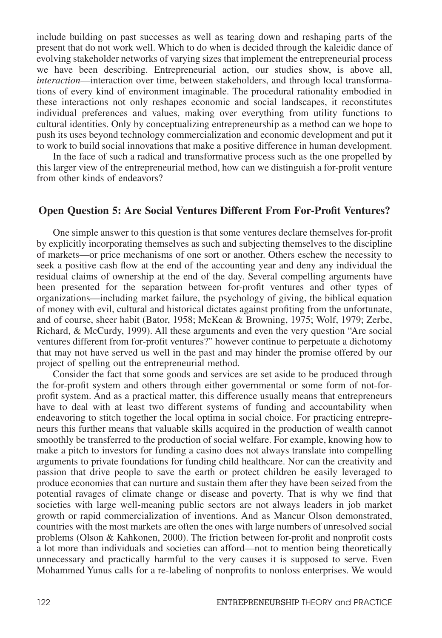include building on past successes as well as tearing down and reshaping parts of the present that do not work well. Which to do when is decided through the kaleidic dance of evolving stakeholder networks of varying sizes that implement the entrepreneurial process we have been describing. Entrepreneurial action, our studies show, is above all, *interaction*—interaction over time, between stakeholders, and through local transformations of every kind of environment imaginable. The procedural rationality embodied in these interactions not only reshapes economic and social landscapes, it reconstitutes individual preferences and values, making over everything from utility functions to cultural identities. Only by conceptualizing entrepreneurship as a method can we hope to push its uses beyond technology commercialization and economic development and put it to work to build social innovations that make a positive difference in human development.

In the face of such a radical and transformative process such as the one propelled by this larger view of the entrepreneurial method, how can we distinguish a for-profit venture from other kinds of endeavors?

# **Open Question 5: Are Social Ventures Different From For-Profit Ventures?**

One simple answer to this question is that some ventures declare themselves for-profit by explicitly incorporating themselves as such and subjecting themselves to the discipline of markets—or price mechanisms of one sort or another. Others eschew the necessity to seek a positive cash flow at the end of the accounting year and deny any individual the residual claims of ownership at the end of the day. Several compelling arguments have been presented for the separation between for-profit ventures and other types of organizations—including market failure, the psychology of giving, the biblical equation of money with evil, cultural and historical dictates against profiting from the unfortunate, and of course, sheer habit (Bator, 1958; McKean & Browning, 1975; Wolf, 1979; Zerbe, Richard, & McCurdy, 1999). All these arguments and even the very question "Are social ventures different from for-profit ventures?" however continue to perpetuate a dichotomy that may not have served us well in the past and may hinder the promise offered by our project of spelling out the entrepreneurial method.

Consider the fact that some goods and services are set aside to be produced through the for-profit system and others through either governmental or some form of not-forprofit system. And as a practical matter, this difference usually means that entrepreneurs have to deal with at least two different systems of funding and accountability when endeavoring to stitch together the local optima in social choice. For practicing entrepreneurs this further means that valuable skills acquired in the production of wealth cannot smoothly be transferred to the production of social welfare. For example, knowing how to make a pitch to investors for funding a casino does not always translate into compelling arguments to private foundations for funding child healthcare. Nor can the creativity and passion that drive people to save the earth or protect children be easily leveraged to produce economies that can nurture and sustain them after they have been seized from the potential ravages of climate change or disease and poverty. That is why we find that societies with large well-meaning public sectors are not always leaders in job market growth or rapid commercialization of inventions. And as Mancur Olson demonstrated, countries with the most markets are often the ones with large numbers of unresolved social problems (Olson & Kahkonen, 2000). The friction between for-profit and nonprofit costs a lot more than individuals and societies can afford—not to mention being theoretically unnecessary and practically harmful to the very causes it is supposed to serve. Even Mohammed Yunus calls for a re-labeling of nonprofits to nonloss enterprises. We would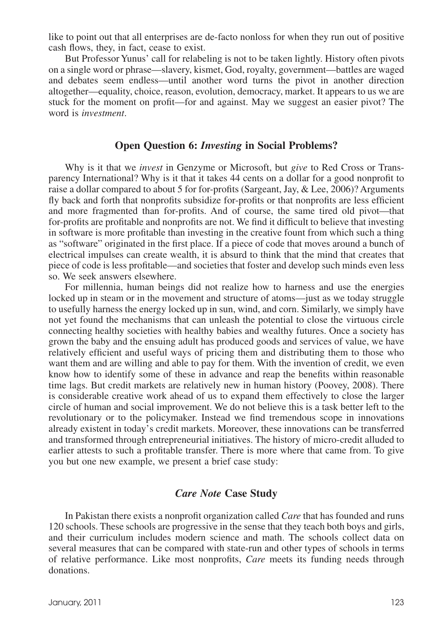like to point out that all enterprises are de-facto nonloss for when they run out of positive cash flows, they, in fact, cease to exist.

But Professor Yunus' call for relabeling is not to be taken lightly. History often pivots on a single word or phrase—slavery, kismet, God, royalty, government—battles are waged and debates seem endless—until another word turns the pivot in another direction altogether—equality, choice, reason, evolution, democracy, market. It appears to us we are stuck for the moment on profit—for and against. May we suggest an easier pivot? The word is *investment*.

#### **Open Question 6:** *Investing* **in Social Problems?**

Why is it that we *invest* in Genzyme or Microsoft, but *give* to Red Cross or Transparency International? Why is it that it takes 44 cents on a dollar for a good nonprofit to raise a dollar compared to about 5 for for-profits (Sargeant, Jay, & Lee, 2006)? Arguments fly back and forth that nonprofits subsidize for-profits or that nonprofits are less efficient and more fragmented than for-profits. And of course, the same tired old pivot—that for-profits are profitable and nonprofits are not. We find it difficult to believe that investing in software is more profitable than investing in the creative fount from which such a thing as "software" originated in the first place. If a piece of code that moves around a bunch of electrical impulses can create wealth, it is absurd to think that the mind that creates that piece of code is less profitable—and societies that foster and develop such minds even less so. We seek answers elsewhere.

For millennia, human beings did not realize how to harness and use the energies locked up in steam or in the movement and structure of atoms—just as we today struggle to usefully harness the energy locked up in sun, wind, and corn. Similarly, we simply have not yet found the mechanisms that can unleash the potential to close the virtuous circle connecting healthy societies with healthy babies and wealthy futures. Once a society has grown the baby and the ensuing adult has produced goods and services of value, we have relatively efficient and useful ways of pricing them and distributing them to those who want them and are willing and able to pay for them. With the invention of credit, we even know how to identify some of these in advance and reap the benefits within reasonable time lags. But credit markets are relatively new in human history (Poovey, 2008). There is considerable creative work ahead of us to expand them effectively to close the larger circle of human and social improvement. We do not believe this is a task better left to the revolutionary or to the policymaker. Instead we find tremendous scope in innovations already existent in today's credit markets. Moreover, these innovations can be transferred and transformed through entrepreneurial initiatives. The history of micro-credit alluded to earlier attests to such a profitable transfer. There is more where that came from. To give you but one new example, we present a brief case study:

# *Care Note* **Case Study**

In Pakistan there exists a nonprofit organization called *Care* that has founded and runs 120 schools. These schools are progressive in the sense that they teach both boys and girls, and their curriculum includes modern science and math. The schools collect data on several measures that can be compared with state-run and other types of schools in terms of relative performance. Like most nonprofits, *Care* meets its funding needs through donations.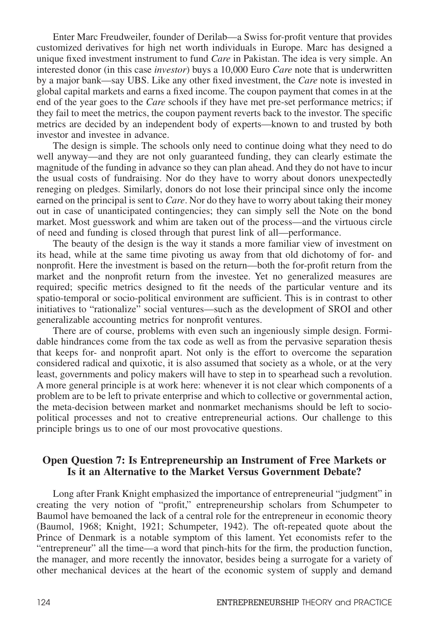Enter Marc Freudweiler, founder of Derilab—a Swiss for-profit venture that provides customized derivatives for high net worth individuals in Europe. Marc has designed a unique fixed investment instrument to fund *Care* in Pakistan. The idea is very simple. An interested donor (in this case *investor*) buys a 10,000 Euro *Care* note that is underwritten by a major bank—say UBS. Like any other fixed investment, the *Care* note is invested in global capital markets and earns a fixed income. The coupon payment that comes in at the end of the year goes to the *Care* schools if they have met pre-set performance metrics; if they fail to meet the metrics, the coupon payment reverts back to the investor. The specific metrics are decided by an independent body of experts—known to and trusted by both investor and investee in advance.

The design is simple. The schools only need to continue doing what they need to do well anyway—and they are not only guaranteed funding, they can clearly estimate the magnitude of the funding in advance so they can plan ahead. And they do not have to incur the usual costs of fundraising. Nor do they have to worry about donors unexpectedly reneging on pledges. Similarly, donors do not lose their principal since only the income earned on the principal is sent to *Care*. Nor do they have to worry about taking their money out in case of unanticipated contingencies; they can simply sell the Note on the bond market. Most guesswork and whim are taken out of the process—and the virtuous circle of need and funding is closed through that purest link of all—performance.

The beauty of the design is the way it stands a more familiar view of investment on its head, while at the same time pivoting us away from that old dichotomy of for- and nonprofit. Here the investment is based on the return—both the for-profit return from the market and the nonprofit return from the investee. Yet no generalized measures are required; specific metrics designed to fit the needs of the particular venture and its spatio-temporal or socio-political environment are sufficient. This is in contrast to other initiatives to "rationalize" social ventures—such as the development of SROI and other generalizable accounting metrics for nonprofit ventures.

There are of course, problems with even such an ingeniously simple design. Formidable hindrances come from the tax code as well as from the pervasive separation thesis that keeps for- and nonprofit apart. Not only is the effort to overcome the separation considered radical and quixotic, it is also assumed that society as a whole, or at the very least, governments and policy makers will have to step in to spearhead such a revolution. A more general principle is at work here: whenever it is not clear which components of a problem are to be left to private enterprise and which to collective or governmental action, the meta-decision between market and nonmarket mechanisms should be left to sociopolitical processes and not to creative entrepreneurial actions. Our challenge to this principle brings us to one of our most provocative questions.

# **Open Question 7: Is Entrepreneurship an Instrument of Free Markets or Is it an Alternative to the Market Versus Government Debate?**

Long after Frank Knight emphasized the importance of entrepreneurial "judgment" in creating the very notion of "profit," entrepreneurship scholars from Schumpeter to Baumol have bemoaned the lack of a central role for the entrepreneur in economic theory (Baumol, 1968; Knight, 1921; Schumpeter, 1942). The oft-repeated quote about the Prince of Denmark is a notable symptom of this lament. Yet economists refer to the "entrepreneur" all the time—a word that pinch-hits for the firm, the production function, the manager, and more recently the innovator, besides being a surrogate for a variety of other mechanical devices at the heart of the economic system of supply and demand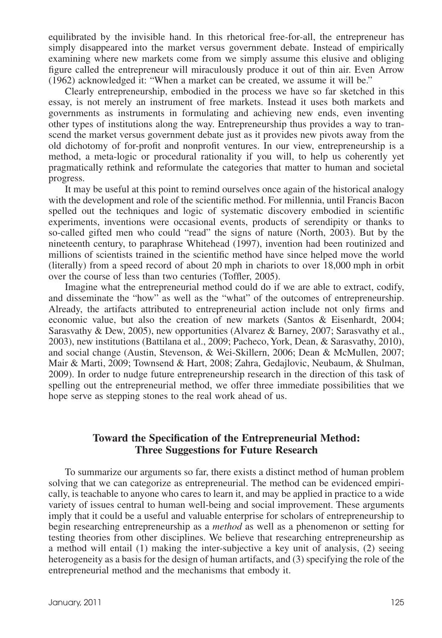equilibrated by the invisible hand. In this rhetorical free-for-all, the entrepreneur has simply disappeared into the market versus government debate. Instead of empirically examining where new markets come from we simply assume this elusive and obliging figure called the entrepreneur will miraculously produce it out of thin air. Even Arrow (1962) acknowledged it: "When a market can be created, we assume it will be."

Clearly entrepreneurship, embodied in the process we have so far sketched in this essay, is not merely an instrument of free markets. Instead it uses both markets and governments as instruments in formulating and achieving new ends, even inventing other types of institutions along the way. Entrepreneurship thus provides a way to transcend the market versus government debate just as it provides new pivots away from the old dichotomy of for-profit and nonprofit ventures. In our view, entrepreneurship is a method, a meta-logic or procedural rationality if you will, to help us coherently yet pragmatically rethink and reformulate the categories that matter to human and societal progress.

It may be useful at this point to remind ourselves once again of the historical analogy with the development and role of the scientific method. For millennia, until Francis Bacon spelled out the techniques and logic of systematic discovery embodied in scientific experiments, inventions were occasional events, products of serendipity or thanks to so-called gifted men who could "read" the signs of nature (North, 2003). But by the nineteenth century, to paraphrase Whitehead (1997), invention had been routinized and millions of scientists trained in the scientific method have since helped move the world (literally) from a speed record of about 20 mph in chariots to over 18,000 mph in orbit over the course of less than two centuries (Toffler, 2005).

Imagine what the entrepreneurial method could do if we are able to extract, codify, and disseminate the "how" as well as the "what" of the outcomes of entrepreneurship. Already, the artifacts attributed to entrepreneurial action include not only firms and economic value, but also the creation of new markets (Santos & Eisenhardt, 2004; Sarasvathy & Dew, 2005), new opportunities (Alvarez & Barney, 2007; Sarasvathy et al., 2003), new institutions (Battilana et al., 2009; Pacheco, York, Dean, & Sarasvathy, 2010), and social change (Austin, Stevenson, & Wei-Skillern, 2006; Dean & McMullen, 2007; Mair & Marti, 2009; Townsend & Hart, 2008; Zahra, Gedajlovic, Neubaum, & Shulman, 2009). In order to nudge future entrepreneurship research in the direction of this task of spelling out the entrepreneurial method, we offer three immediate possibilities that we hope serve as stepping stones to the real work ahead of us.

# **Toward the Specification of the Entrepreneurial Method: Three Suggestions for Future Research**

To summarize our arguments so far, there exists a distinct method of human problem solving that we can categorize as entrepreneurial. The method can be evidenced empirically, is teachable to anyone who cares to learn it, and may be applied in practice to a wide variety of issues central to human well-being and social improvement. These arguments imply that it could be a useful and valuable enterprise for scholars of entrepreneurship to begin researching entrepreneurship as a *method* as well as a phenomenon or setting for testing theories from other disciplines. We believe that researching entrepreneurship as a method will entail (1) making the inter-subjective a key unit of analysis, (2) seeing heterogeneity as a basis for the design of human artifacts, and (3) specifying the role of the entrepreneurial method and the mechanisms that embody it.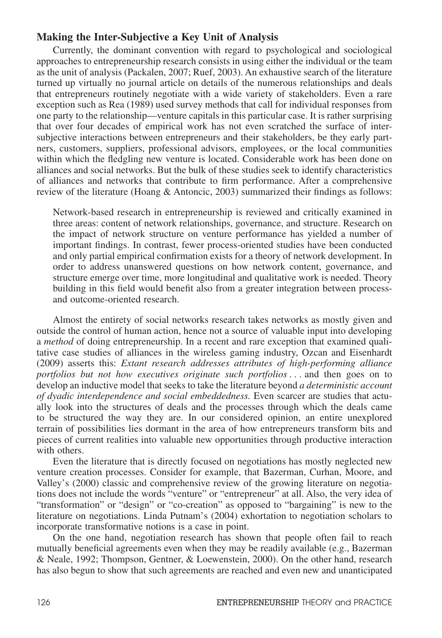# **Making the Inter-Subjective a Key Unit of Analysis**

Currently, the dominant convention with regard to psychological and sociological approaches to entrepreneurship research consists in using either the individual or the team as the unit of analysis (Packalen, 2007; Ruef, 2003). An exhaustive search of the literature turned up virtually no journal article on details of the numerous relationships and deals that entrepreneurs routinely negotiate with a wide variety of stakeholders. Even a rare exception such as Rea (1989) used survey methods that call for individual responses from one party to the relationship—venture capitals in this particular case. It is rather surprising that over four decades of empirical work has not even scratched the surface of intersubjective interactions between entrepreneurs and their stakeholders, be they early partners, customers, suppliers, professional advisors, employees, or the local communities within which the fledgling new venture is located. Considerable work has been done on alliances and social networks. But the bulk of these studies seek to identify characteristics of alliances and networks that contribute to firm performance. After a comprehensive review of the literature (Hoang & Antoncic, 2003) summarized their findings as follows:

Network-based research in entrepreneurship is reviewed and critically examined in three areas: content of network relationships, governance, and structure. Research on the impact of network structure on venture performance has yielded a number of important findings. In contrast, fewer process-oriented studies have been conducted and only partial empirical confirmation exists for a theory of network development. In order to address unanswered questions on how network content, governance, and structure emerge over time, more longitudinal and qualitative work is needed. Theory building in this field would benefit also from a greater integration between processand outcome-oriented research.

Almost the entirety of social networks research takes networks as mostly given and outside the control of human action, hence not a source of valuable input into developing a *method* of doing entrepreneurship. In a recent and rare exception that examined qualitative case studies of alliances in the wireless gaming industry, Ozcan and Eisenhardt (2009) asserts this: *Extant research addresses attributes of high-performing alliance portfolios but not how executives originate such portfolios...* and then goes on to develop an inductive model that seeks to take the literature beyond *a deterministic account of dyadic interdependence and social embeddedness.* Even scarcer are studies that actually look into the structures of deals and the processes through which the deals came to be structured the way they are. In our considered opinion, an entire unexplored terrain of possibilities lies dormant in the area of how entrepreneurs transform bits and pieces of current realities into valuable new opportunities through productive interaction with others.

Even the literature that is directly focused on negotiations has mostly neglected new venture creation processes. Consider for example, that Bazerman, Curhan, Moore, and Valley's (2000) classic and comprehensive review of the growing literature on negotiations does not include the words "venture" or "entrepreneur" at all. Also, the very idea of "transformation" or "design" or "co-creation" as opposed to "bargaining" is new to the literature on negotiations. Linda Putnam's (2004) exhortation to negotiation scholars to incorporate transformative notions is a case in point.

On the one hand, negotiation research has shown that people often fail to reach mutually beneficial agreements even when they may be readily available (e.g., Bazerman & Neale, 1992; Thompson, Gentner, & Loewenstein, 2000). On the other hand, research has also begun to show that such agreements are reached and even new and unanticipated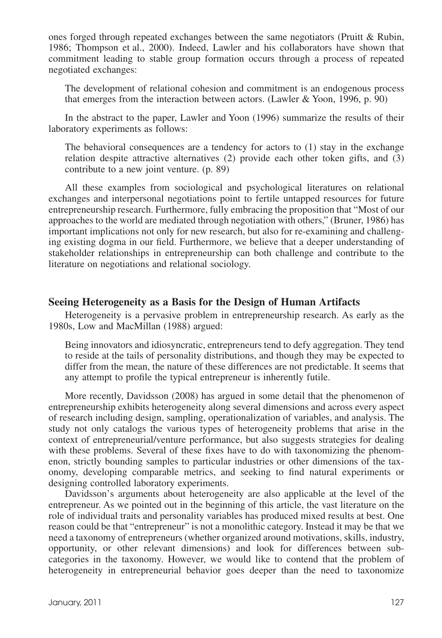ones forged through repeated exchanges between the same negotiators (Pruitt & Rubin, 1986; Thompson et al., 2000). Indeed, Lawler and his collaborators have shown that commitment leading to stable group formation occurs through a process of repeated negotiated exchanges:

The development of relational cohesion and commitment is an endogenous process that emerges from the interaction between actors. (Lawler & Yoon, 1996, p. 90)

In the abstract to the paper, Lawler and Yoon (1996) summarize the results of their laboratory experiments as follows:

The behavioral consequences are a tendency for actors to (1) stay in the exchange relation despite attractive alternatives (2) provide each other token gifts, and (3) contribute to a new joint venture. (p. 89)

All these examples from sociological and psychological literatures on relational exchanges and interpersonal negotiations point to fertile untapped resources for future entrepreneurship research. Furthermore, fully embracing the proposition that "Most of our approaches to the world are mediated through negotiation with others," (Bruner, 1986) has important implications not only for new research, but also for re-examining and challenging existing dogma in our field. Furthermore, we believe that a deeper understanding of stakeholder relationships in entrepreneurship can both challenge and contribute to the literature on negotiations and relational sociology.

# **Seeing Heterogeneity as a Basis for the Design of Human Artifacts**

Heterogeneity is a pervasive problem in entrepreneurship research. As early as the 1980s, Low and MacMillan (1988) argued:

Being innovators and idiosyncratic, entrepreneurs tend to defy aggregation. They tend to reside at the tails of personality distributions, and though they may be expected to differ from the mean, the nature of these differences are not predictable. It seems that any attempt to profile the typical entrepreneur is inherently futile.

More recently, Davidsson (2008) has argued in some detail that the phenomenon of entrepreneurship exhibits heterogeneity along several dimensions and across every aspect of research including design, sampling, operationalization of variables, and analysis. The study not only catalogs the various types of heterogeneity problems that arise in the context of entrepreneurial/venture performance, but also suggests strategies for dealing with these problems. Several of these fixes have to do with taxonomizing the phenomenon, strictly bounding samples to particular industries or other dimensions of the taxonomy, developing comparable metrics, and seeking to find natural experiments or designing controlled laboratory experiments.

Davidsson's arguments about heterogeneity are also applicable at the level of the entrepreneur. As we pointed out in the beginning of this article, the vast literature on the role of individual traits and personality variables has produced mixed results at best. One reason could be that "entrepreneur" is not a monolithic category. Instead it may be that we need a taxonomy of entrepreneurs (whether organized around motivations, skills, industry, opportunity, or other relevant dimensions) and look for differences between subcategories in the taxonomy. However, we would like to contend that the problem of heterogeneity in entrepreneurial behavior goes deeper than the need to taxonomize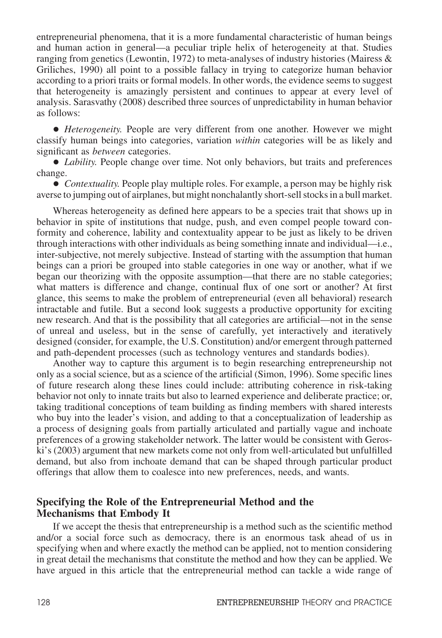entrepreneurial phenomena, that it is a more fundamental characteristic of human beings and human action in general—a peculiar triple helix of heterogeneity at that. Studies ranging from genetics (Lewontin, 1972) to meta-analyses of industry histories (Mairess & Griliches, 1990) all point to a possible fallacy in trying to categorize human behavior according to a priori traits or formal models. In other words, the evidence seems to suggest that heterogeneity is amazingly persistent and continues to appear at every level of analysis. Sarasvathy (2008) described three sources of unpredictability in human behavior as follows:

• *Heterogeneity.* People are very different from one another. However we might classify human beings into categories, variation *within* categories will be as likely and significant as *between* categories.

• *Lability.* People change over time. Not only behaviors, but traits and preferences change.

• *Contextuality.* People play multiple roles. For example, a person may be highly risk averse to jumping out of airplanes, but might nonchalantly short-sell stocks in a bull market.

Whereas heterogeneity as defined here appears to be a species trait that shows up in behavior in spite of institutions that nudge, push, and even compel people toward conformity and coherence, lability and contextuality appear to be just as likely to be driven through interactions with other individuals as being something innate and individual—i.e., inter-subjective, not merely subjective. Instead of starting with the assumption that human beings can a priori be grouped into stable categories in one way or another, what if we began our theorizing with the opposite assumption—that there are no stable categories; what matters is difference and change, continual flux of one sort or another? At first glance, this seems to make the problem of entrepreneurial (even all behavioral) research intractable and futile. But a second look suggests a productive opportunity for exciting new research. And that is the possibility that all categories are artificial—not in the sense of unreal and useless, but in the sense of carefully, yet interactively and iteratively designed (consider, for example, the U.S. Constitution) and/or emergent through patterned and path-dependent processes (such as technology ventures and standards bodies).

Another way to capture this argument is to begin researching entrepreneurship not only as a social science, but as a science of the artificial (Simon, 1996). Some specific lines of future research along these lines could include: attributing coherence in risk-taking behavior not only to innate traits but also to learned experience and deliberate practice; or, taking traditional conceptions of team building as finding members with shared interests who buy into the leader's vision, and adding to that a conceptualization of leadership as a process of designing goals from partially articulated and partially vague and inchoate preferences of a growing stakeholder network. The latter would be consistent with Geroski's (2003) argument that new markets come not only from well-articulated but unfulfilled demand, but also from inchoate demand that can be shaped through particular product offerings that allow them to coalesce into new preferences, needs, and wants.

# **Specifying the Role of the Entrepreneurial Method and the Mechanisms that Embody It**

If we accept the thesis that entrepreneurship is a method such as the scientific method and/or a social force such as democracy, there is an enormous task ahead of us in specifying when and where exactly the method can be applied, not to mention considering in great detail the mechanisms that constitute the method and how they can be applied. We have argued in this article that the entrepreneurial method can tackle a wide range of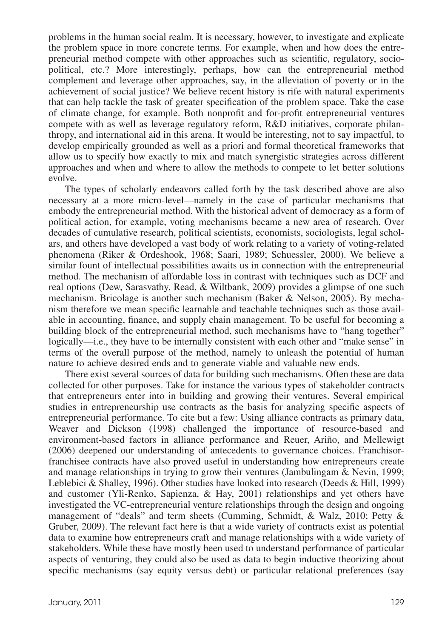problems in the human social realm. It is necessary, however, to investigate and explicate the problem space in more concrete terms. For example, when and how does the entrepreneurial method compete with other approaches such as scientific, regulatory, sociopolitical, etc.? More interestingly, perhaps, how can the entrepreneurial method complement and leverage other approaches, say, in the alleviation of poverty or in the achievement of social justice? We believe recent history is rife with natural experiments that can help tackle the task of greater specification of the problem space. Take the case of climate change, for example. Both nonprofit and for-profit entrepreneurial ventures compete with as well as leverage regulatory reform, R&D initiatives, corporate philanthropy, and international aid in this arena. It would be interesting, not to say impactful, to develop empirically grounded as well as a priori and formal theoretical frameworks that allow us to specify how exactly to mix and match synergistic strategies across different approaches and when and where to allow the methods to compete to let better solutions evolve.

The types of scholarly endeavors called forth by the task described above are also necessary at a more micro-level—namely in the case of particular mechanisms that embody the entrepreneurial method. With the historical advent of democracy as a form of political action, for example, voting mechanisms became a new area of research. Over decades of cumulative research, political scientists, economists, sociologists, legal scholars, and others have developed a vast body of work relating to a variety of voting-related phenomena (Riker & Ordeshook, 1968; Saari, 1989; Schuessler, 2000). We believe a similar fount of intellectual possibilities awaits us in connection with the entrepreneurial method. The mechanism of affordable loss in contrast with techniques such as DCF and real options (Dew, Sarasvathy, Read, & Wiltbank, 2009) provides a glimpse of one such mechanism. Bricolage is another such mechanism (Baker & Nelson, 2005). By mechanism therefore we mean specific learnable and teachable techniques such as those available in accounting, finance, and supply chain management. To be useful for becoming a building block of the entrepreneurial method, such mechanisms have to "hang together" logically—i.e., they have to be internally consistent with each other and "make sense" in terms of the overall purpose of the method, namely to unleash the potential of human nature to achieve desired ends and to generate viable and valuable new ends.

There exist several sources of data for building such mechanisms. Often these are data collected for other purposes. Take for instance the various types of stakeholder contracts that entrepreneurs enter into in building and growing their ventures. Several empirical studies in entrepreneurship use contracts as the basis for analyzing specific aspects of entrepreneurial performance. To cite but a few: Using alliance contracts as primary data, Weaver and Dickson (1998) challenged the importance of resource-based and environment-based factors in alliance performance and Reuer, Ariño, and Mellewigt (2006) deepened our understanding of antecedents to governance choices. Franchisorfranchisee contracts have also proved useful in understanding how entrepreneurs create and manage relationships in trying to grow their ventures (Jambulingam & Nevin, 1999; Leblebici & Shalley, 1996). Other studies have looked into research (Deeds & Hill, 1999) and customer (Yli-Renko, Sapienza, & Hay, 2001) relationships and yet others have investigated the VC-entrepreneurial venture relationships through the design and ongoing management of "deals" and term sheets (Cumming, Schmidt, & Walz, 2010; Petty & Gruber, 2009). The relevant fact here is that a wide variety of contracts exist as potential data to examine how entrepreneurs craft and manage relationships with a wide variety of stakeholders. While these have mostly been used to understand performance of particular aspects of venturing, they could also be used as data to begin inductive theorizing about specific mechanisms (say equity versus debt) or particular relational preferences (say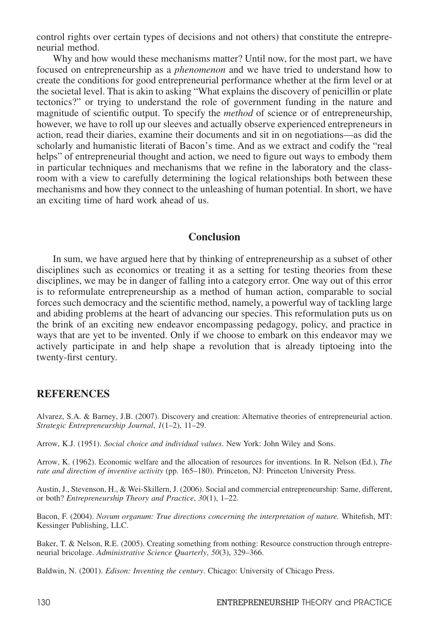control rights over certain types of decisions and not others) that constitute the entrepreneurial method.

Why and how would these mechanisms matter? Until now, for the most part, we have focused on entrepreneurship as a *phenomenon* and we have tried to understand how to create the conditions for good entrepreneurial performance whether at the firm level or at the societal level. That is akin to asking "What explains the discovery of penicillin or plate tectonics?" or trying to understand the role of government funding in the nature and magnitude of scientific output. To specify the *method* of science or of entrepreneurship, however, we have to roll up our sleeves and actually observe experienced entrepreneurs in action, read their diaries, examine their documents and sit in on negotiations—as did the scholarly and humanistic literati of Bacon's time. And as we extract and codify the "real helps" of entrepreneurial thought and action, we need to figure out ways to embody them in particular techniques and mechanisms that we refine in the laboratory and the classroom with a view to carefully determining the logical relationships both between these mechanisms and how they connect to the unleashing of human potential. In short, we have an exciting time of hard work ahead of us.

# **Conclusion**

In sum, we have argued here that by thinking of entrepreneurship as a subset of other disciplines such as economics or treating it as a setting for testing theories from these disciplines, we may be in danger of falling into a category error. One way out of this error is to reformulate entrepreneurship as a method of human action, comparable to social forces such democracy and the scientific method, namely, a powerful way of tackling large and abiding problems at the heart of advancing our species. This reformulation puts us on the brink of an exciting new endeavor encompassing pedagogy, policy, and practice in ways that are yet to be invented. Only if we choose to embark on this endeavor may we actively participate in and help shape a revolution that is already tiptoeing into the twenty-first century.

# **REFERENCES**

Alvarez, S.A. & Barney, J.B. (2007). Discovery and creation: Alternative theories of entrepreneurial action. *Strategic Entrepreneurship Journal*, *1*(1–2), 11–29.

Arrow, K.J. (1951). *Social choice and individual values*. New York: John Wiley and Sons.

Arrow, K. (1962). Economic welfare and the allocation of resources for inventions. In R. Nelson (Ed.), *The rate and direction of inventive activity* (pp. 165–180). Princeton, NJ: Princeton University Press.

Austin, J., Stevenson, H., & Wei-Skillern, J. (2006). Social and commercial entrepreneurship: Same, different, or both? *Entrepreneurship Theory and Practice*, *30*(1), 1–22.

Bacon, F. (2004). *Novum organum: True directions concerning the interpretation of nature.* Whitefish, MT: Kessinger Publishing, LLC.

Baker, T. & Nelson, R.E. (2005). Creating something from nothing: Resource construction through entrepreneurial bricolage. *Administrative Science Quarterly*, *50*(3), 329–366.

Baldwin, N. (2001). *Edison: Inventing the century*. Chicago: University of Chicago Press.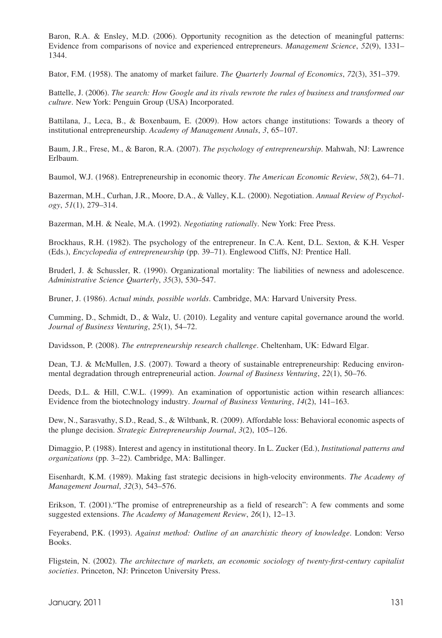Baron, R.A. & Ensley, M.D. (2006). Opportunity recognition as the detection of meaningful patterns: Evidence from comparisons of novice and experienced entrepreneurs. *Management Science*, *52*(9), 1331– 1344.

Bator, F.M. (1958). The anatomy of market failure. *The Quarterly Journal of Economics*, *72*(3), 351–379.

Battelle, J. (2006). *The search: How Google and its rivals rewrote the rules of business and transformed our culture*. New York: Penguin Group (USA) Incorporated.

Battilana, J., Leca, B., & Boxenbaum, E. (2009). How actors change institutions: Towards a theory of institutional entrepreneurship. *Academy of Management Annals*, *3*, 65–107.

Baum, J.R., Frese, M., & Baron, R.A. (2007). *The psychology of entrepreneurship*. Mahwah, NJ: Lawrence Erlbaum.

Baumol, W.J. (1968). Entrepreneurship in economic theory. *The American Economic Review*, *58*(2), 64–71.

Bazerman, M.H., Curhan, J.R., Moore, D.A., & Valley, K.L. (2000). Negotiation. *Annual Review of Psychology*, *51*(1), 279–314.

Bazerman, M.H. & Neale, M.A. (1992). *Negotiating rationally*. New York: Free Press.

Brockhaus, R.H. (1982). The psychology of the entrepreneur. In C.A. Kent, D.L. Sexton, & K.H. Vesper (Eds.), *Encyclopedia of entrepreneurship* (pp. 39–71). Englewood Cliffs, NJ: Prentice Hall.

Bruderl, J. & Schussler, R. (1990). Organizational mortality: The liabilities of newness and adolescence. *Administrative Science Quarterly*, *35*(3), 530–547.

Bruner, J. (1986). *Actual minds, possible worlds*. Cambridge, MA: Harvard University Press.

Cumming, D., Schmidt, D., & Walz, U. (2010). Legality and venture capital governance around the world. *Journal of Business Venturing*, *25*(1), 54–72.

Davidsson, P. (2008). *The entrepreneurship research challenge*. Cheltenham, UK: Edward Elgar.

Dean, T.J. & McMullen, J.S. (2007). Toward a theory of sustainable entrepreneurship: Reducing environmental degradation through entrepreneurial action. *Journal of Business Venturing*, *22*(1), 50–76.

Deeds, D.L. & Hill, C.W.L. (1999). An examination of opportunistic action within research alliances: Evidence from the biotechnology industry. *Journal of Business Venturing*, *14*(2), 141–163.

Dew, N., Sarasvathy, S.D., Read, S., & Wiltbank, R. (2009). Affordable loss: Behavioral economic aspects of the plunge decision. *Strategic Entrepreneurship Journal*, *3*(2), 105–126.

Dimaggio, P. (1988). Interest and agency in institutional theory. In L. Zucker (Ed.), *Institutional patterns and organizations* (pp. 3–22). Cambridge, MA: Ballinger.

Eisenhardt, K.M. (1989). Making fast strategic decisions in high-velocity environments. *The Academy of Management Journal*, *32*(3), 543–576.

Erikson, T. (2001)."The promise of entrepreneurship as a field of research": A few comments and some suggested extensions. *The Academy of Management Review*, *26*(1), 12–13.

Feyerabend, P.K. (1993). *Against method: Outline of an anarchistic theory of knowledge*. London: Verso Books.

Fligstein, N. (2002). *The architecture of markets, an economic sociology of twenty-first-century capitalist societies*. Princeton, NJ: Princeton University Press.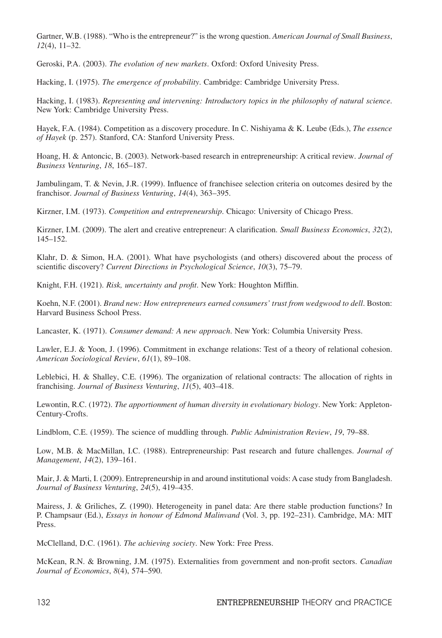Gartner, W.B. (1988). "Who is the entrepreneur?" is the wrong question. *American Journal of Small Business*, *12*(4), 11–32.

Geroski, P.A. (2003). *The evolution of new markets*. Oxford: Oxford Univesity Press.

Hacking, I. (1975). *The emergence of probability*. Cambridge: Cambridge University Press.

Hacking, I. (1983). *Representing and intervening: Introductory topics in the philosophy of natural science*. New York: Cambridge University Press.

Hayek, F.A. (1984). Competition as a discovery procedure. In C. Nishiyama & K. Leube (Eds.), *The essence of Hayek* (p. 257). Stanford, CA: Stanford University Press.

Hoang, H. & Antoncic, B. (2003). Network-based research in entrepreneurship: A critical review. *Journal of Business Venturing*, *18*, 165–187.

Jambulingam, T. & Nevin, J.R. (1999). Influence of franchisee selection criteria on outcomes desired by the franchisor. *Journal of Business Venturing*, *14*(4), 363–395.

Kirzner, I.M. (1973). *Competition and entrepreneurship*. Chicago: University of Chicago Press.

Kirzner, I.M. (2009). The alert and creative entrepreneur: A clarification. *Small Business Economics*, *32*(2), 145–152.

Klahr, D. & Simon, H.A. (2001). What have psychologists (and others) discovered about the process of scientific discovery? *Current Directions in Psychological Science*, *10*(3), 75–79.

Knight, F.H. (1921). *Risk, uncertainty and profit*. New York: Houghton Mifflin.

Koehn, N.F. (2001). *Brand new: How entrepreneurs earned consumers' trust from wedgwood to dell*. Boston: Harvard Business School Press.

Lancaster, K. (1971). *Consumer demand: A new approach*. New York: Columbia University Press.

Lawler, E.J. & Yoon, J. (1996). Commitment in exchange relations: Test of a theory of relational cohesion. *American Sociological Review*, *61*(1), 89–108.

Leblebici, H. & Shalley, C.E. (1996). The organization of relational contracts: The allocation of rights in franchising. *Journal of Business Venturing*, *11*(5), 403–418.

Lewontin, R.C. (1972). *The apportionment of human diversity in evolutionary biology*. New York: Appleton-Century-Crofts.

Lindblom, C.E. (1959). The science of muddling through. *Public Administration Review*, *19*, 79–88.

Low, M.B. & MacMillan, I.C. (1988). Entrepreneurship: Past research and future challenges. *Journal of Management*, *14*(2), 139–161.

Mair, J. & Marti, I. (2009). Entrepreneurship in and around institutional voids: A case study from Bangladesh. *Journal of Business Venturing*, *24*(5), 419–435.

Mairess, J. & Griliches, Z. (1990). Heterogeneity in panel data: Are there stable production functions? In P. Champsaur (Ed.), *Essays in honour of Edmond Malinvand* (Vol. 3, pp. 192–231). Cambridge, MA: MIT Press.

McClelland, D.C. (1961). *The achieving society*. New York: Free Press.

McKean, R.N. & Browning, J.M. (1975). Externalities from government and non-profit sectors. *Canadian Journal of Economics*, *8*(4), 574–590.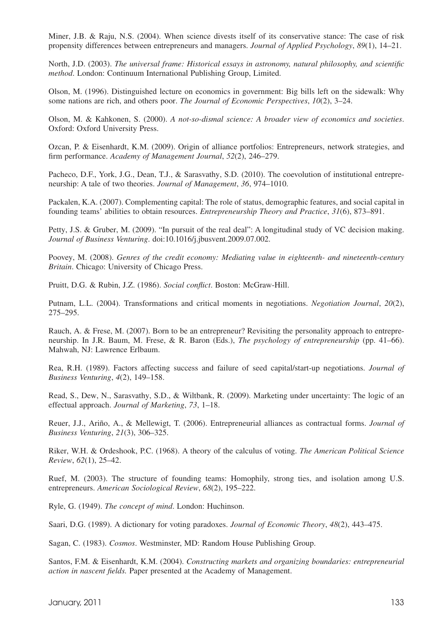Miner, J.B. & Raju, N.S. (2004). When science divests itself of its conservative stance: The case of risk propensity differences between entrepreneurs and managers. *Journal of Applied Psychology*, *89*(1), 14–21.

North, J.D. (2003). *The universal frame: Historical essays in astronomy, natural philosophy, and scientific method*. London: Continuum International Publishing Group, Limited.

Olson, M. (1996). Distinguished lecture on economics in government: Big bills left on the sidewalk: Why some nations are rich, and others poor. *The Journal of Economic Perspectives*, *10*(2), 3–24.

Olson, M. & Kahkonen, S. (2000). *A not-so-dismal science: A broader view of economics and societies*. Oxford: Oxford University Press.

Ozcan, P. & Eisenhardt, K.M. (2009). Origin of alliance portfolios: Entrepreneurs, network strategies, and firm performance. *Academy of Management Journal*, *52*(2), 246–279.

Pacheco, D.F., York, J.G., Dean, T.J., & Sarasvathy, S.D. (2010). The coevolution of institutional entrepreneurship: A tale of two theories. *Journal of Management*, *36*, 974–1010.

Packalen, K.A. (2007). Complementing capital: The role of status, demographic features, and social capital in founding teams' abilities to obtain resources. *Entrepreneurship Theory and Practice*, *31*(6), 873–891.

Petty, J.S. & Gruber, M. (2009). "In pursuit of the real deal": A longitudinal study of VC decision making. *Journal of Business Venturing*. doi:10.1016/j.jbusvent.2009.07.002.

Poovey, M. (2008). *Genres of the credit economy: Mediating value in eighteenth- and nineteenth-century Britain*. Chicago: University of Chicago Press.

Pruitt, D.G. & Rubin, J.Z. (1986). *Social conflict*. Boston: McGraw-Hill.

Putnam, L.L. (2004). Transformations and critical moments in negotiations. *Negotiation Journal*, *20*(2), 275–295.

Rauch, A. & Frese, M. (2007). Born to be an entrepreneur? Revisiting the personality approach to entrepreneurship. In J.R. Baum, M. Frese, & R. Baron (Eds.), *The psychology of entrepreneurship* (pp. 41–66). Mahwah, NJ: Lawrence Erlbaum.

Rea, R.H. (1989). Factors affecting success and failure of seed capital/start-up negotiations. *Journal of Business Venturing*, *4*(2), 149–158.

Read, S., Dew, N., Sarasvathy, S.D., & Wiltbank, R. (2009). Marketing under uncertainty: The logic of an effectual approach. *Journal of Marketing*, *73*, 1–18.

Reuer, J.J., Ariño, A., & Mellewigt, T. (2006). Entrepreneurial alliances as contractual forms. *Journal of Business Venturing*, *21*(3), 306–325.

Riker, W.H. & Ordeshook, P.C. (1968). A theory of the calculus of voting. *The American Political Science Review*, *62*(1), 25–42.

Ruef, M. (2003). The structure of founding teams: Homophily, strong ties, and isolation among U.S. entrepreneurs. *American Sociological Review*, *68*(2), 195–222.

Ryle, G. (1949). *The concept of mind*. London: Huchinson.

Saari, D.G. (1989). A dictionary for voting paradoxes. *Journal of Economic Theory*, *48*(2), 443–475.

Sagan, C. (1983). *Cosmos*. Westminster, MD: Random House Publishing Group.

Santos, F.M. & Eisenhardt, K.M. (2004). *Constructing markets and organizing boundaries: entrepreneurial action in nascent fields.* Paper presented at the Academy of Management.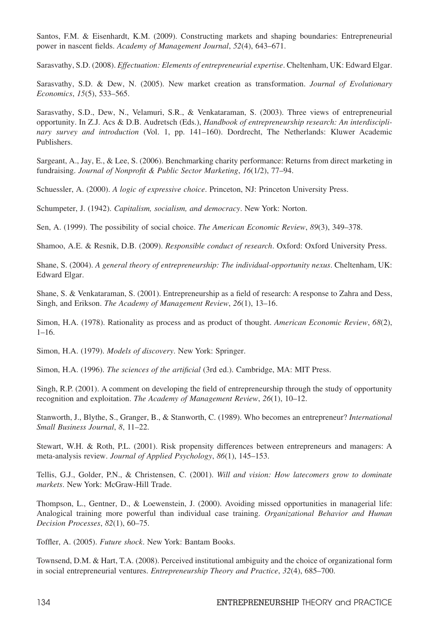Santos, F.M. & Eisenhardt, K.M. (2009). Constructing markets and shaping boundaries: Entrepreneurial power in nascent fields. *Academy of Management Journal*, *52*(4), 643–671.

Sarasvathy, S.D. (2008). *Effectuation: Elements of entrepreneurial expertise*. Cheltenham, UK: Edward Elgar.

Sarasvathy, S.D. & Dew, N. (2005). New market creation as transformation. *Journal of Evolutionary Economics*, *15*(5), 533–565.

Sarasvathy, S.D., Dew, N., Velamuri, S.R., & Venkataraman, S. (2003). Three views of entrepreneurial opportunity. In Z.J. Acs & D.B. Audretsch (Eds.), *Handbook of entrepreneurship research: An interdisciplinary survey and introduction* (Vol. 1, pp. 141–160). Dordrecht, The Netherlands: Kluwer Academic Publishers.

Sargeant, A., Jay, E., & Lee, S. (2006). Benchmarking charity performance: Returns from direct marketing in fundraising. *Journal of Nonprofit & Public Sector Marketing*, *16*(1/2), 77–94.

Schuessler, A. (2000). *A logic of expressive choice*. Princeton, NJ: Princeton University Press.

Schumpeter, J. (1942). *Capitalism, socialism, and democracy*. New York: Norton.

Sen, A. (1999). The possibility of social choice. *The American Economic Review*, *89*(3), 349–378.

Shamoo, A.E. & Resnik, D.B. (2009). *Responsible conduct of research*. Oxford: Oxford University Press.

Shane, S. (2004). *A general theory of entrepreneurship: The individual-opportunity nexus*. Cheltenham, UK: Edward Elgar.

Shane, S. & Venkataraman, S. (2001). Entrepreneurship as a field of research: A response to Zahra and Dess, Singh, and Erikson. *The Academy of Management Review*, *26*(1), 13–16.

Simon, H.A. (1978). Rationality as process and as product of thought. *American Economic Review*, *68*(2), 1–16.

Simon, H.A. (1979). *Models of discovery*. New York: Springer.

Simon, H.A. (1996). *The sciences of the artificial* (3rd ed.). Cambridge, MA: MIT Press.

Singh, R.P. (2001). A comment on developing the field of entrepreneurship through the study of opportunity recognition and exploitation. *The Academy of Management Review*, *26*(1), 10–12.

Stanworth, J., Blythe, S., Granger, B., & Stanworth, C. (1989). Who becomes an entrepreneur? *International Small Business Journal*, *8*, 11–22.

Stewart, W.H. & Roth, P.L. (2001). Risk propensity differences between entrepreneurs and managers: A meta-analysis review. *Journal of Applied Psychology*, *86*(1), 145–153.

Tellis, G.J., Golder, P.N., & Christensen, C. (2001). *Will and vision: How latecomers grow to dominate markets*. New York: McGraw-Hill Trade.

Thompson, L., Gentner, D., & Loewenstein, J. (2000). Avoiding missed opportunities in managerial life: Analogical training more powerful than individual case training. *Organizational Behavior and Human Decision Processes*, *82*(1), 60–75.

Toffler, A. (2005). *Future shock*. New York: Bantam Books.

Townsend, D.M. & Hart, T.A. (2008). Perceived institutional ambiguity and the choice of organizational form in social entrepreneurial ventures. *Entrepreneurship Theory and Practice*, *32*(4), 685–700.